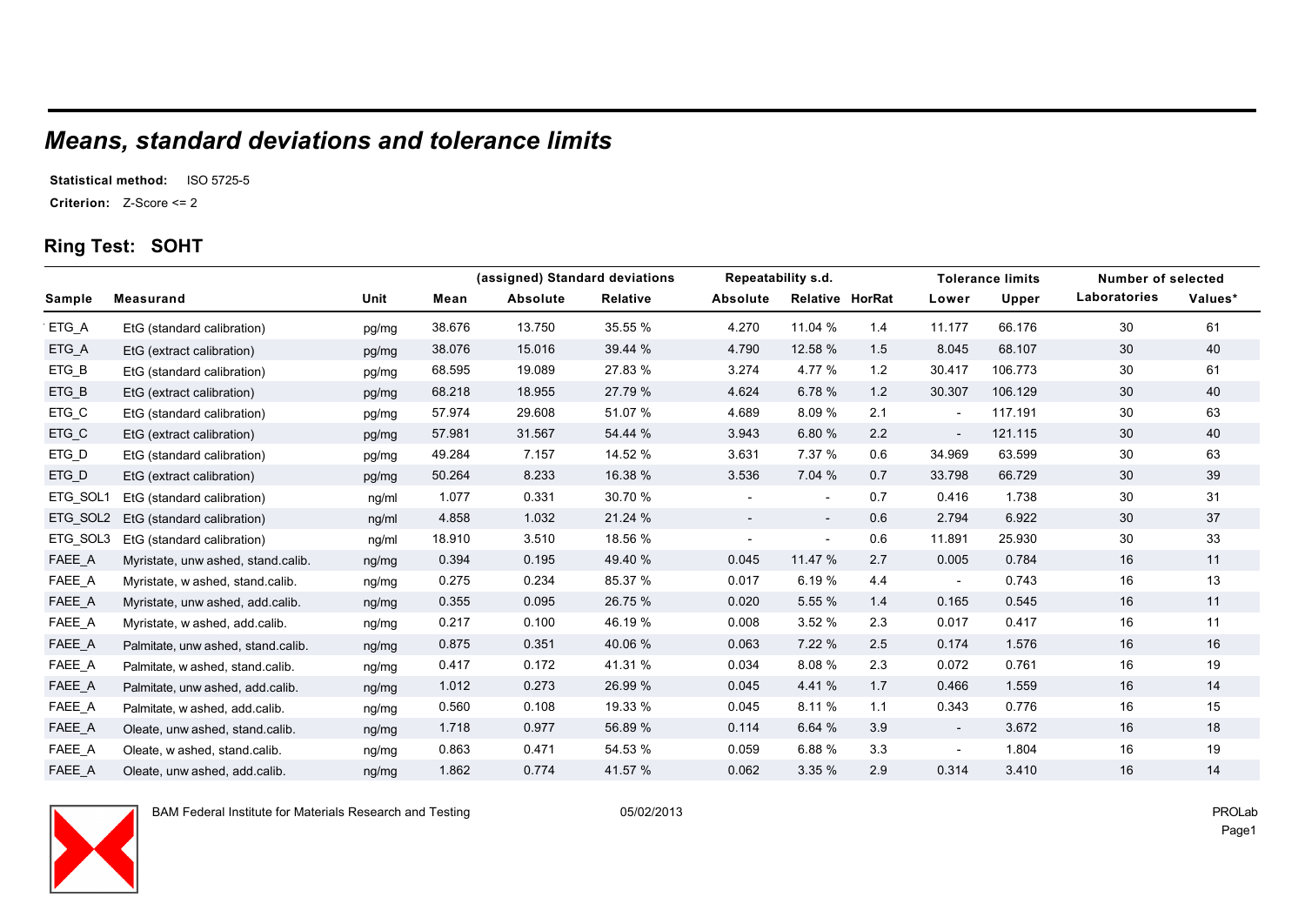# *Means, standard deviations and tolerance limits*

**Statistical method:** ISO 5725-5

**Criterion:** Z-Score <= 2

#### **Ring Test: SOHT**

|          |                                    |       |        |          | (assigned) Standard deviations | Repeatability s.d.       |                          |     | <b>Tolerance limits</b>  | Number of selected |              |         |
|----------|------------------------------------|-------|--------|----------|--------------------------------|--------------------------|--------------------------|-----|--------------------------|--------------------|--------------|---------|
| Sample   | <b>Measurand</b>                   | Unit  | Mean   | Absolute | <b>Relative</b>                | Absolute                 | <b>Relative HorRat</b>   |     | Lower                    | Upper              | Laboratories | Values* |
| ETG_A    | EtG (standard calibration)         | pg/mg | 38.676 | 13.750   | 35.55 %                        | 4.270                    | 11.04 %                  | 1.4 | 11.177                   | 66.176             | 30           | 61      |
| ETG_A    | EtG (extract calibration)          | pg/mg | 38.076 | 15.016   | 39.44 %                        | 4.790                    | 12.58 %                  | 1.5 | 8.045                    | 68.107             | 30           | 40      |
| ETG_B    | EtG (standard calibration)         | pg/mg | 68.595 | 19.089   | 27.83 %                        | 3.274                    | 4.77 %                   | 1.2 | 30.417                   | 106.773            | 30           | 61      |
| ETG_B    | EtG (extract calibration)          | pg/mg | 68.218 | 18.955   | 27.79 %                        | 4.624                    | 6.78 %                   | 1.2 | 30.307                   | 106.129            | 30           | 40      |
| ETG_C    | EtG (standard calibration)         | pg/mg | 57.974 | 29.608   | 51.07 %                        | 4.689                    | 8.09 %                   | 2.1 | $ \,$                    | 117.191            | 30           | 63      |
| ETG_C    | EtG (extract calibration)          | pg/mg | 57.981 | 31.567   | 54.44 %                        | 3.943                    | 6.80 %                   | 2.2 | $\overline{\phantom{a}}$ | 121.115            | 30           | 40      |
| ETG_D    | EtG (standard calibration)         | pg/mg | 49.284 | 7.157    | 14.52 %                        | 3.631                    | 7.37 %                   | 0.6 | 34.969                   | 63.599             | 30           | 63      |
| ETG D    | EtG (extract calibration)          | pg/mg | 50.264 | 8.233    | 16.38 %                        | 3.536                    | 7.04%                    | 0.7 | 33.798                   | 66.729             | 30           | 39      |
| ETG_SOL1 | EtG (standard calibration)         | nq/ml | 1.077  | 0.331    | 30.70 %                        | $\overline{\phantom{a}}$ | $\overline{\phantom{a}}$ | 0.7 | 0.416                    | 1.738              | 30           | 31      |
| ETG_SOL2 | EtG (standard calibration)         | nq/ml | 4.858  | 1.032    | 21.24 %                        | $\overline{\phantom{a}}$ | $\overline{\phantom{a}}$ | 0.6 | 2.794                    | 6.922              | 30           | 37      |
| ETG_SOL3 | EtG (standard calibration)         | ng/ml | 18.910 | 3.510    | 18.56 %                        | $\overline{\phantom{a}}$ | $\overline{\phantom{a}}$ | 0.6 | 11.891                   | 25.930             | 30           | 33      |
| FAEE_A   | Myristate, unw ashed, stand.calib. | ng/mg | 0.394  | 0.195    | 49.40 %                        | 0.045                    | 11.47 %                  | 2.7 | 0.005                    | 0.784              | 16           | 11      |
| FAEE_A   | Myristate, w ashed, stand.calib.   | ng/mg | 0.275  | 0.234    | 85.37 %                        | 0.017                    | 6.19 %                   | 4.4 | $\overline{\phantom{a}}$ | 0.743              | 16           | 13      |
| FAEE A   | Myristate, unw ashed, add calib.   | ng/mg | 0.355  | 0.095    | 26.75 %                        | 0.020                    | 5.55 %                   | 1.4 | 0.165                    | 0.545              | 16           | 11      |
| FAEE_A   | Myristate, w ashed, add.calib.     | ng/mg | 0.217  | 0.100    | 46.19 %                        | 0.008                    | 3.52%                    | 2.3 | 0.017                    | 0.417              | 16           | 11      |
| FAEE_A   | Palmitate, unw ashed, stand.calib. | ng/mg | 0.875  | 0.351    | 40.06 %                        | 0.063                    | 7.22%                    | 2.5 | 0.174                    | 1.576              | 16           | 16      |
| FAEE_A   | Palmitate, w ashed, stand.calib.   | ng/mg | 0.417  | 0.172    | 41.31 %                        | 0.034                    | 8.08 %                   | 2.3 | 0.072                    | 0.761              | 16           | 19      |
| FAEE_A   | Palmitate, unw ashed, add calib.   | ng/mg | 1.012  | 0.273    | 26.99 %                        | 0.045                    | 4.41 %                   | 1.7 | 0.466                    | 1.559              | 16           | 14      |
| FAEE_A   | Palmitate, w ashed, add.calib.     | ng/mg | 0.560  | 0.108    | 19.33 %                        | 0.045                    | 8.11 %                   | 1.1 | 0.343                    | 0.776              | 16           | 15      |
| FAEE_A   | Oleate, unw ashed, stand calib.    | ng/mg | 1.718  | 0.977    | 56.89 %                        | 0.114                    | 6.64 %                   | 3.9 | $\overline{\phantom{a}}$ | 3.672              | 16           | 18      |
| FAEE_A   | Oleate, w ashed, stand.calib.      | ng/mg | 0.863  | 0.471    | 54.53 %                        | 0.059                    | 6.88%                    | 3.3 | $\overline{\phantom{a}}$ | 1.804              | 16           | 19      |
| FAEE A   | Oleate, unw ashed, add.calib.      | ng/mg | 1.862  | 0.774    | 41.57 %                        | 0.062                    | 3.35%                    | 2.9 | 0.314                    | 3.410              | 16           | 14      |



BAM Federal Institute for Materials Research and Testing 05/02/2013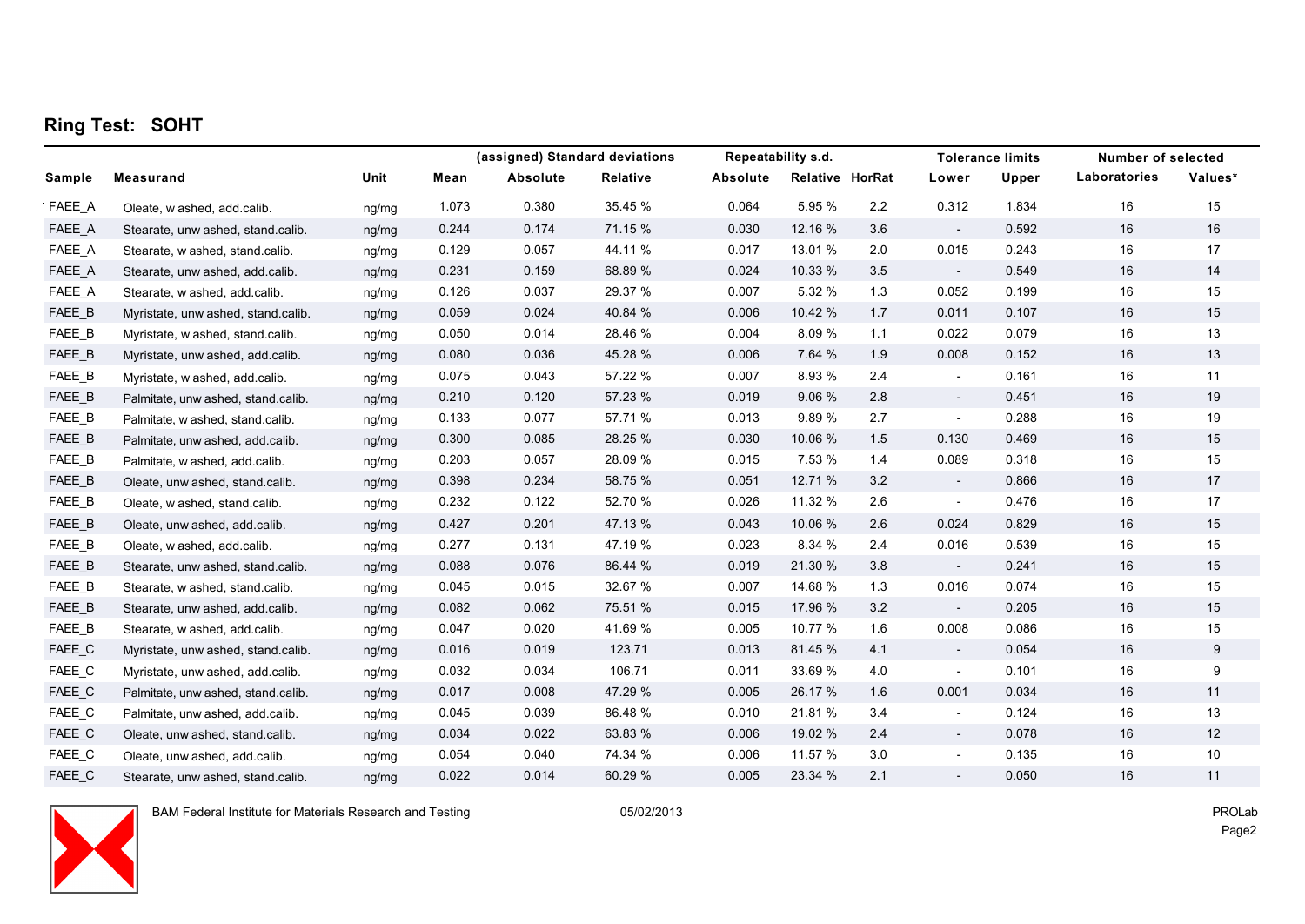### **Ring Test: SOHT**

|        |                                    |       | (assigned) Standard deviations |          | Repeatability s.d. |          |                 |     | <b>Tolerance limits</b>  | Number of selected |              |         |
|--------|------------------------------------|-------|--------------------------------|----------|--------------------|----------|-----------------|-----|--------------------------|--------------------|--------------|---------|
| Sample | Measurand                          | Unit  | Mean                           | Absolute | <b>Relative</b>    | Absolute | Relative HorRat |     | Lower                    | Upper              | Laboratories | Values* |
| FAEE_A | Oleate, w ashed, add calib.        | ng/mg | 1.073                          | 0.380    | 35.45 %            | 0.064    | 5.95 %          | 2.2 | 0.312                    | 1.834              | 16           | 15      |
| FAEE_A | Stearate, unw ashed, stand.calib.  | ng/mg | 0.244                          | 0.174    | 71.15 %            | 0.030    | 12.16 %         | 3.6 | $\sim$                   | 0.592              | 16           | 16      |
| FAEE_A | Stearate, w ashed, stand calib.    | ng/mg | 0.129                          | 0.057    | 44.11 %            | 0.017    | 13.01 %         | 2.0 | 0.015                    | 0.243              | 16           | 17      |
| FAEE_A | Stearate, unw ashed, add.calib.    | ng/mg | 0.231                          | 0.159    | 68.89 %            | 0.024    | 10.33 %         | 3.5 | $\overline{\phantom{a}}$ | 0.549              | 16           | 14      |
| FAEE_A | Stearate, w ashed, add.calib.      | ng/mg | 0.126                          | 0.037    | 29.37 %            | 0.007    | 5.32 %          | 1.3 | 0.052                    | 0.199              | 16           | 15      |
| FAEE B | Myristate, unw ashed, stand.calib. | ng/mg | 0.059                          | 0.024    | 40.84 %            | 0.006    | 10.42 %         | 1.7 | 0.011                    | 0.107              | 16           | 15      |
| FAEE_B | Myristate, w ashed, stand.calib.   | ng/mg | 0.050                          | 0.014    | 28.46 %            | 0.004    | 8.09 %          | 1.1 | 0.022                    | 0.079              | 16           | 13      |
| FAEE_B | Myristate, unw ashed, add calib.   | ng/mg | 0.080                          | 0.036    | 45.28 %            | 0.006    | 7.64 %          | 1.9 | 0.008                    | 0.152              | 16           | 13      |
| FAEE_B | Myristate, w ashed, add calib.     | ng/mg | 0.075                          | 0.043    | 57.22 %            | 0.007    | 8.93 %          | 2.4 | $\overline{\phantom{a}}$ | 0.161              | 16           | 11      |
| FAEE_B | Palmitate, unw ashed, stand.calib. | ng/mg | 0.210                          | 0.120    | 57.23 %            | 0.019    | 9.06 %          | 2.8 | $\sim$                   | 0.451              | 16           | 19      |
| FAEE_B | Palmitate, w ashed, stand calib.   | ng/mg | 0.133                          | 0.077    | 57.71 %            | 0.013    | 9.89%           | 2.7 | $\overline{\phantom{a}}$ | 0.288              | 16           | 19      |
| FAEE_B | Palmitate, unw ashed, add calib.   | ng/mg | 0.300                          | 0.085    | 28.25 %            | 0.030    | 10.06 %         | 1.5 | 0.130                    | 0.469              | 16           | 15      |
| FAEE_B | Palmitate, w ashed, add.calib.     | ng/mg | 0.203                          | 0.057    | 28.09 %            | 0.015    | 7.53 %          | 1.4 | 0.089                    | 0.318              | 16           | 15      |
| FAEE_B | Oleate, unw ashed, stand.calib.    | nq/mq | 0.398                          | 0.234    | 58.75 %            | 0.051    | 12.71 %         | 3.2 | $\sim$                   | 0.866              | 16           | 17      |
| FAEE_B | Oleate, w ashed, stand.calib.      | ng/mg | 0.232                          | 0.122    | 52.70 %            | 0.026    | 11.32 %         | 2.6 | $\overline{\phantom{a}}$ | 0.476              | 16           | 17      |
| FAEE_B | Oleate, unw ashed, add.calib.      | ng/mg | 0.427                          | 0.201    | 47.13 %            | 0.043    | 10.06 %         | 2.6 | 0.024                    | 0.829              | 16           | 15      |
| FAEE_B | Oleate, w ashed, add calib.        | ng/mg | 0.277                          | 0.131    | 47.19 %            | 0.023    | 8.34 %          | 2.4 | 0.016                    | 0.539              | 16           | 15      |
| FAEE_B | Stearate, unw ashed, stand.calib.  | ng/mg | 0.088                          | 0.076    | 86.44 %            | 0.019    | 21.30 %         | 3.8 | $\overline{\phantom{a}}$ | 0.241              | 16           | 15      |
| FAEE_B | Stearate, w ashed, stand.calib.    | ng/mg | 0.045                          | 0.015    | 32.67 %            | 0.007    | 14.68 %         | 1.3 | 0.016                    | 0.074              | 16           | 15      |
| FAEE_B | Stearate, unw ashed, add calib.    | ng/mg | 0.082                          | 0.062    | 75.51 %            | 0.015    | 17.96 %         | 3.2 | $\overline{\phantom{a}}$ | 0.205              | 16           | 15      |
| FAEE_B | Stearate, w ashed, add.calib.      | ng/mg | 0.047                          | 0.020    | 41.69 %            | 0.005    | 10.77 %         | 1.6 | 0.008                    | 0.086              | 16           | 15      |
| FAEE_C | Myristate, unw ashed, stand.calib. | ng/mg | 0.016                          | 0.019    | 123.71             | 0.013    | 81.45 %         | 4.1 | $\overline{\phantom{a}}$ | 0.054              | 16           | 9       |
| FAEE_C | Myristate, unw ashed, add.calib.   | ng/mg | 0.032                          | 0.034    | 106.71             | 0.011    | 33.69 %         | 4.0 | $\overline{\phantom{a}}$ | 0.101              | 16           | 9       |
| FAEE_C | Palmitate, unw ashed, stand.calib. | ng/mg | 0.017                          | 0.008    | 47.29 %            | 0.005    | 26.17 %         | 1.6 | 0.001                    | 0.034              | 16           | 11      |
| FAEE_C | Palmitate, unw ashed, add.calib.   | ng/mg | 0.045                          | 0.039    | 86.48 %            | 0.010    | 21.81 %         | 3.4 | $\overline{\phantom{a}}$ | 0.124              | 16           | 13      |
| FAEE_C | Oleate, unw ashed, stand.calib.    | ng/mg | 0.034                          | 0.022    | 63.83 %            | 0.006    | 19.02 %         | 2.4 | $\sim$                   | 0.078              | 16           | 12      |
| FAEE_C | Oleate, unw ashed, add.calib.      | ng/mg | 0.054                          | 0.040    | 74.34 %            | 0.006    | 11.57 %         | 3.0 | $\overline{\phantom{a}}$ | 0.135              | 16           | 10      |
| FAEE C | Stearate, unw ashed, stand.calib.  | nq/mq | 0.022                          | 0.014    | 60.29 %            | 0.005    | 23.34 %         | 2.1 | $\overline{\phantom{a}}$ | 0.050              | 16           | 11      |



BAM Federal Institute for Materials Research and Testing 05/02/2013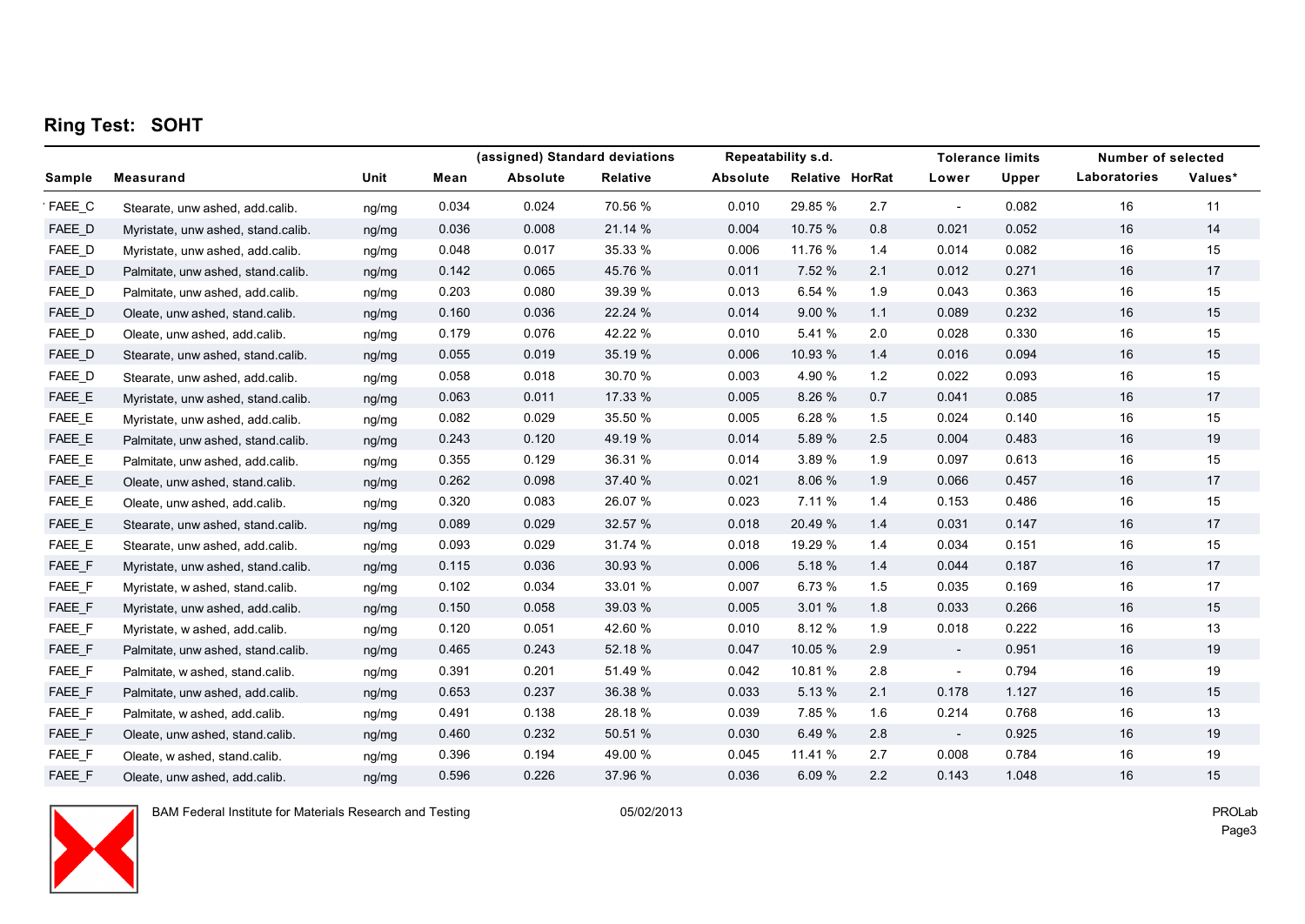### **Ring Test: SOHT**

|        |                                    |       |       |          | (assigned) Standard deviations | Repeatability s.d. |                 |     | <b>Tolerance limits</b>  | <b>Number of selected</b> |              |         |
|--------|------------------------------------|-------|-------|----------|--------------------------------|--------------------|-----------------|-----|--------------------------|---------------------------|--------------|---------|
| Sample | <b>Measurand</b>                   | Unit  | Mean  | Absolute | Relative                       | Absolute           | Relative HorRat |     | Lower                    | Upper                     | Laboratories | Values* |
| FAEE_C | Stearate, unw ashed, add calib.    | ng/mg | 0.034 | 0.024    | 70.56 %                        | 0.010              | 29.85 %         | 2.7 | $\overline{\phantom{a}}$ | 0.082                     | 16           | 11      |
| FAEE_D | Myristate, unw ashed, stand.calib. | ng/mg | 0.036 | 0.008    | 21.14 %                        | 0.004              | 10.75 %         | 0.8 | 0.021                    | 0.052                     | 16           | 14      |
| FAEE_D | Myristate, unw ashed, add.calib.   | ng/mg | 0.048 | 0.017    | 35.33 %                        | 0.006              | 11.76 %         | 1.4 | 0.014                    | 0.082                     | 16           | 15      |
| FAEE_D | Palmitate, unw ashed, stand.calib. | ng/mg | 0.142 | 0.065    | 45.76 %                        | 0.011              | 7.52 %          | 2.1 | 0.012                    | 0.271                     | 16           | 17      |
| FAEE_D | Palmitate, unw ashed, add calib.   | ng/mg | 0.203 | 0.080    | 39.39 %                        | 0.013              | 6.54 %          | 1.9 | 0.043                    | 0.363                     | 16           | 15      |
| FAEE D | Oleate, unw ashed, stand.calib.    | ng/mg | 0.160 | 0.036    | 22.24 %                        | 0.014              | 9.00%           | 1.1 | 0.089                    | 0.232                     | 16           | 15      |
| FAEE_D | Oleate, unw ashed, add.calib.      | ng/mg | 0.179 | 0.076    | 42.22 %                        | 0.010              | 5.41 %          | 2.0 | 0.028                    | 0.330                     | 16           | 15      |
| FAEE_D | Stearate, unw ashed, stand.calib.  | ng/mg | 0.055 | 0.019    | 35.19 %                        | 0.006              | 10.93 %         | 1.4 | 0.016                    | 0.094                     | 16           | 15      |
| FAEE_D | Stearate, unw ashed, add calib.    | ng/mg | 0.058 | 0.018    | 30.70 %                        | 0.003              | 4.90 %          | 1.2 | 0.022                    | 0.093                     | 16           | 15      |
| FAEE_E | Myristate, unw ashed, stand.calib. | ng/mg | 0.063 | 0.011    | 17.33 %                        | 0.005              | 8.26 %          | 0.7 | 0.041                    | 0.085                     | 16           | 17      |
| FAEE_E | Myristate, unw ashed, add.calib.   | ng/mg | 0.082 | 0.029    | 35.50 %                        | 0.005              | 6.28 %          | 1.5 | 0.024                    | 0.140                     | 16           | 15      |
| FAEE_E | Palmitate, unw ashed, stand.calib. | ng/mg | 0.243 | 0.120    | 49.19 %                        | 0.014              | 5.89 %          | 2.5 | 0.004                    | 0.483                     | 16           | 19      |
| FAEE_E | Palmitate, unw ashed, add calib.   | ng/mg | 0.355 | 0.129    | 36.31 %                        | 0.014              | 3.89 %          | 1.9 | 0.097                    | 0.613                     | 16           | 15      |
| FAEE_E | Oleate, unw ashed, stand calib.    | ng/mg | 0.262 | 0.098    | 37.40 %                        | 0.021              | 8.06 %          | 1.9 | 0.066                    | 0.457                     | 16           | 17      |
| FAEE_E | Oleate, unw ashed, add.calib.      | ng/mg | 0.320 | 0.083    | 26.07 %                        | 0.023              | 7.11 %          | 1.4 | 0.153                    | 0.486                     | 16           | 15      |
| FAEE_E | Stearate, unw ashed, stand.calib.  | ng/mg | 0.089 | 0.029    | 32.57 %                        | 0.018              | 20.49 %         | 1.4 | 0.031                    | 0.147                     | 16           | 17      |
| FAEE_E | Stearate, unw ashed, add.calib.    | ng/mg | 0.093 | 0.029    | 31.74 %                        | 0.018              | 19.29 %         | 1.4 | 0.034                    | 0.151                     | 16           | 15      |
| FAEE_F | Myristate, unw ashed, stand.calib. | ng/mg | 0.115 | 0.036    | 30.93 %                        | 0.006              | 5.18 %          | 1.4 | 0.044                    | 0.187                     | 16           | 17      |
| FAEE_F | Myristate, w ashed, stand.calib.   | ng/mg | 0.102 | 0.034    | 33.01 %                        | 0.007              | 6.73 %          | 1.5 | 0.035                    | 0.169                     | 16           | 17      |
| FAEE_F | Myristate, unw ashed, add.calib.   | ng/mg | 0.150 | 0.058    | 39.03 %                        | 0.005              | 3.01 %          | 1.8 | 0.033                    | 0.266                     | 16           | 15      |
| FAEE_F | Myristate, w ashed, add calib.     | ng/mg | 0.120 | 0.051    | 42.60 %                        | 0.010              | 8.12 %          | 1.9 | 0.018                    | 0.222                     | 16           | 13      |
| FAEE_F | Palmitate, unw ashed, stand.calib. | ng/mg | 0.465 | 0.243    | 52.18 %                        | 0.047              | 10.05 %         | 2.9 | $\overline{\phantom{a}}$ | 0.951                     | 16           | 19      |
| FAEE_F | Palmitate, w ashed, stand.calib.   | ng/mg | 0.391 | 0.201    | 51.49 %                        | 0.042              | 10.81 %         | 2.8 | $\overline{\phantom{a}}$ | 0.794                     | 16           | 19      |
| FAEE F | Palmitate, unw ashed, add calib.   | ng/mg | 0.653 | 0.237    | 36.38 %                        | 0.033              | 5.13 %          | 2.1 | 0.178                    | 1.127                     | 16           | 15      |
| FAEE F | Palmitate, w ashed, add.calib.     | ng/mg | 0.491 | 0.138    | 28.18 %                        | 0.039              | 7.85 %          | 1.6 | 0.214                    | 0.768                     | 16           | 13      |
| FAEE_F | Oleate, unw ashed, stand.calib.    | ng/mg | 0.460 | 0.232    | 50.51 %                        | 0.030              | 6.49 %          | 2.8 | $\overline{\phantom{a}}$ | 0.925                     | 16           | 19      |
| FAEE_F | Oleate, w ashed, stand.calib.      | ng/mg | 0.396 | 0.194    | 49.00 %                        | 0.045              | 11.41 %         | 2.7 | 0.008                    | 0.784                     | 16           | 19      |
| FAEE F | Oleate, unw ashed, add calib.      | nq/mq | 0.596 | 0.226    | 37.96 %                        | 0.036              | 6.09%           | 2.2 | 0.143                    | 1.048                     | 16           | 15      |



BAM Federal Institute for Materials Research and Testing 05/02/2013